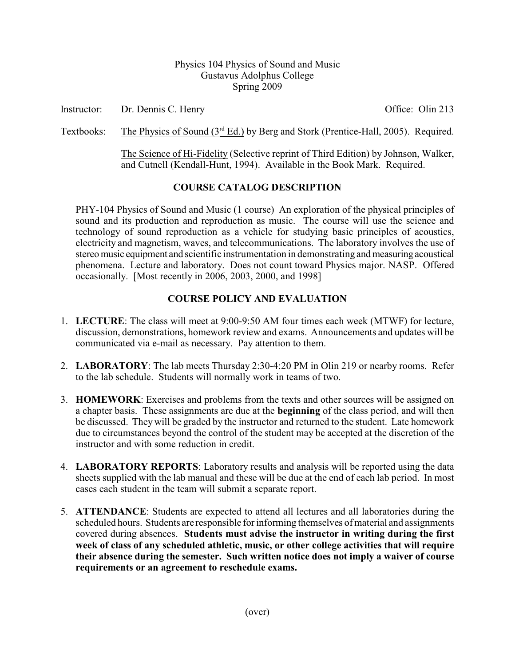#### Physics 104 Physics of Sound and Music Gustavus Adolphus College Spring 2009

Instructor: Dr. Dennis C. Henry Office: Olin 213

Textbooks: The Physics of Sound  $(3<sup>rd</sup> Ed.)$  by Berg and Stork (Prentice-Hall, 2005). Required.

The Science of Hi-Fidelity (Selective reprint of Third Edition) by Johnson, Walker, and Cutnell (Kendall-Hunt, 1994). Available in the Book Mark. Required.

# **COURSE CATALOG DESCRIPTION**

PHY-104 Physics of Sound and Music (1 course) An exploration of the physical principles of sound and its production and reproduction as music. The course will use the science and technology of sound reproduction as a vehicle for studying basic principles of acoustics, electricity and magnetism, waves, and telecommunications. The laboratory involves the use of stereo music equipment and scientific instrumentation in demonstrating and measuring acoustical phenomena. Lecture and laboratory. Does not count toward Physics major. NASP. Offered occasionally. [Most recently in 2006, 2003, 2000, and 1998]

# **COURSE POLICY AND EVALUATION**

- 1. **LECTURE**: The class will meet at 9:00-9:50 AM four times each week (MTWF) for lecture, discussion, demonstrations, homework review and exams. Announcements and updates will be communicated via e-mail as necessary. Pay attention to them.
- 2. **LABORATORY**: The lab meets Thursday 2:30-4:20 PM in Olin 219 or nearby rooms. Refer to the lab schedule. Students will normally work in teams of two.
- 3. **HOMEWORK**: Exercises and problems from the texts and other sources will be assigned on a chapter basis. These assignments are due at the **beginning** of the class period, and will then be discussed. They will be graded by the instructor and returned to the student. Late homework due to circumstances beyond the control of the student may be accepted at the discretion of the instructor and with some reduction in credit.
- 4. **LABORATORY REPORTS**: Laboratory results and analysis will be reported using the data sheets supplied with the lab manual and these will be due at the end of each lab period. In most cases each student in the team will submit a separate report.
- 5. **ATTENDANCE**: Students are expected to attend all lectures and all laboratories during the scheduled hours. Students are responsible for informing themselves of material and assignments covered during absences. **Students must advise the instructor in writing during the first week of class of any scheduled athletic, music, or other college activities that will require their absence during the semester. Such written notice does not imply a waiver of course requirements or an agreement to reschedule exams.**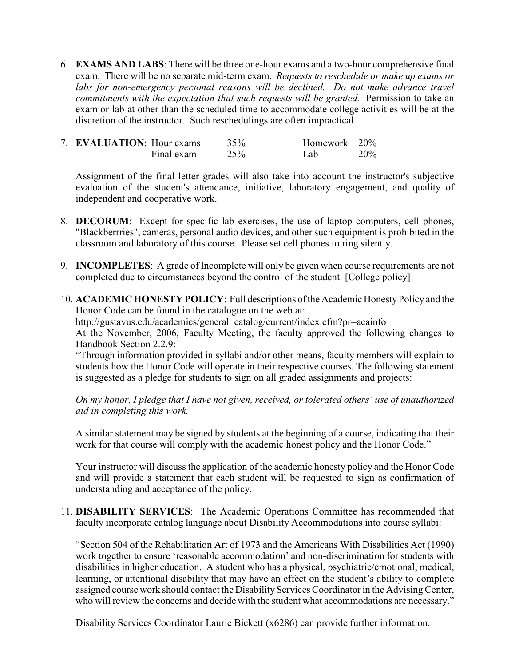6. **EXAMS AND LABS**: There will be three one-hour exams and a two-hour comprehensive final exam. There will be no separate mid-term exam. *Requests to reschedule or make up exams or labs for non-emergency personal reasons will be declined. Do not make advance travel commitments with the expectation that such requests will be granted.* Permission to take an exam or lab at other than the scheduled time to accommodate college activities will be at the discretion of the instructor. Such reschedulings are often impractical.

| 7. <b>EVALUATION:</b> Hour exams |            | 35% | Homework 20% |        |
|----------------------------------|------------|-----|--------------|--------|
|                                  | Final exam | 25% | Lab          | $20\%$ |

Assignment of the final letter grades will also take into account the instructor's subjective evaluation of the student's attendance, initiative, laboratory engagement, and quality of independent and cooperative work.

- 8. **DECORUM**: Except for specific lab exercises, the use of laptop computers, cell phones, "Blackberrries", cameras, personal audio devices, and other such equipment is prohibited in the classroom and laboratory of this course. Please set cell phones to ring silently.
- 9. **INCOMPLETES**: A grade of Incomplete will only be given when course requirements are not completed due to circumstances beyond the control of the student. [College policy]
- 10. **ACADEMIC HONESTY POLICY**: Full descriptions of the Academic HonestyPolicy and the Honor Code can be found in the catalogue on the web at:

http://gustavus.edu/academics/general\_catalog/current/index.cfm?pr=acainfo At the November, 2006, Faculty Meeting, the faculty approved the following changes to Handbook Section 2.2.9:

"Through information provided in syllabi and/or other means, faculty members will explain to students how the Honor Code will operate in their respective courses. The following statement is suggested as a pledge for students to sign on all graded assignments and projects:

*On my honor, I pledge that I have not given, received, or tolerated others' use of unauthorized aid in completing this work.*

A similar statement may be signed by students at the beginning of a course, indicating that their work for that course will comply with the academic honest policy and the Honor Code."

Your instructor will discuss the application of the academic honesty policy and the Honor Code and will provide a statement that each student will be requested to sign as confirmation of understanding and acceptance of the policy.

11. **DISABILITY SERVICES**: The Academic Operations Committee has recommended that faculty incorporate catalog language about Disability Accommodations into course syllabi:

"Section 504 of the Rehabilitation Art of 1973 and the Americans With Disabilities Act (1990) work together to ensure 'reasonable accommodation' and non-discrimination for students with disabilities in higher education. A student who has a physical, psychiatric/emotional, medical, learning, or attentional disability that may have an effect on the student's ability to complete assigned course work should contact the Disability Services Coordinator in the Advising Center, who will review the concerns and decide with the student what accommodations are necessary."

Disability Services Coordinator Laurie Bickett (x6286) can provide further information.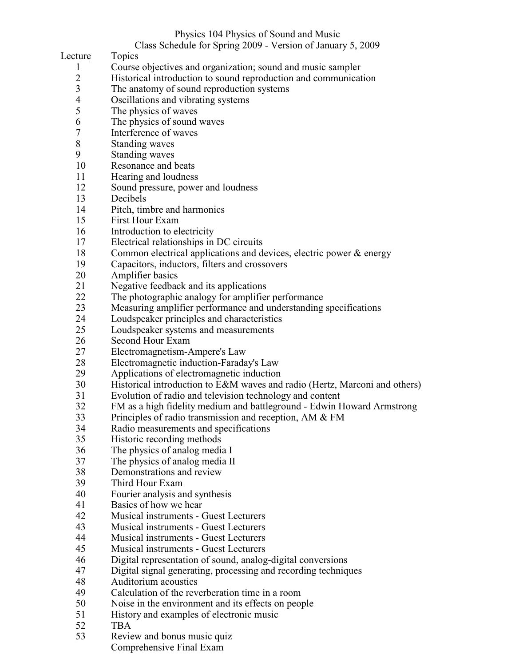# Physics 104 Physics of Sound and Music

Class Schedule for Spring 2009 - Version of January 5, 2009

Lecture Topics

- 1 Course objectives and organization; sound and music sampler
- 2 Historical introduction to sound reproduction and communication<br>3 The anatomy of sound reproduction systems
- 3 The anatomy of sound reproduction systems<br>4 Oscillations and vibrating systems
- 4 Oscillations and vibrating systems<br>5 The physics of waves
- 5 The physics of waves<br>6 The physics of sound
- 6 The physics of sound waves<br>7 Interference of waves
- 7 Interference of waves<br>8 Standing waves
- 8 Standing waves<br>9 Standing waves
- **Standing waves**
- 10 Resonance and beats
- 11 Hearing and loudness
- 12 Sound pressure, power and loudness
- 13 Decibels
- 14 Pitch, timbre and harmonics
- 15 First Hour Exam
- 16 Introduction to electricity
- 17 Electrical relationships in DC circuits
- 18 Common electrical applications and devices, electric power & energy<br>19 Capacitors, inductors, filters and crossovers
- 19 Capacitors, inductors, filters and crossovers<br>20 Amplifier basics
- Amplifier basics
- 21 Negative feedback and its applications<br>22 The photographic analogy for amplifier
- The photographic analogy for amplifier performance
- 23 Measuring amplifier performance and understanding specifications<br>24 Loudspeaker principles and characteristics
- 24 Loudspeaker principles and characteristics<br>25 Loudspeaker systems and measurements
- Loudspeaker systems and measurements
- 26 Second Hour Exam<br>27 Electromagnetism-A
- Electromagnetism-Ampere's Law
- 28 Electromagnetic induction-Faraday's Law
- 29 Applications of electromagnetic induction
- 30 Historical introduction to E&M waves and radio (Hertz, Marconi and others)
- 31 Evolution of radio and television technology and content
- 32 FM as a high fidelity medium and battleground Edwin Howard Armstrong<br>33 Principles of radio transmission and reception. AM & FM
- 33 Principles of radio transmission and reception, AM & FM<br>34 Radio measurements and specifications
- 34 Radio measurements and specifications<br>35 Historic recording methods
- 35 Historic recording methods<br>36 The physics of analog medi
- 36 The physics of analog media I<br>37 The physics of analog media II
- 37 The physics of analog media II<br>38 Demonstrations and review
- 38 Demonstrations and review<br>39 Third Hour Exam
- Third Hour Exam
- 40 Fourier analysis and synthesis
- 41 Basics of how we hear
- 42 Musical instruments Guest Lecturers<br>43 Musical instruments Guest Lecturers
- 43 Musical instruments Guest Lecturers
- 44 Musical instruments Guest Lecturers
- 45 Musical instruments Guest Lecturers
- 46 Digital representation of sound, analog-digital conversions
- 47 Digital signal generating, processing and recording techniques
- 48 Auditorium acoustics<br>49 Calculation of the rev
- Calculation of the reverberation time in a room
- 50 Noise in the environment and its effects on people
- 51 History and examples of electronic music<br>52 TBA
- TBA
- 53 Review and bonus music quiz
	- Comprehensive Final Exam